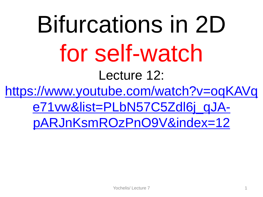# Bifurcations in 2D for self-watch Lecture 12: [https://www.youtube.com/watch?v=oqKAVq](https://www.youtube.com/watch?v=oqKAVqe71vw&list=PLbN57C5Zdl6j_qJA-pARJnKsmROzPnO9V&index=12) e71vw&list=PLbN57C5Zdl6j\_qJApARJnKsmROzPnO9V&index=12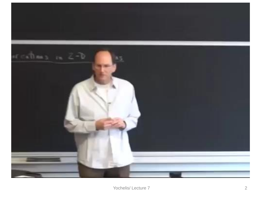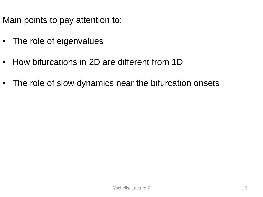Main points to pay attention to:

- The role of eigenvalues
- How bifurcations in 2D are different from 1D
- The role of slow dynamics near the bifurcation onsets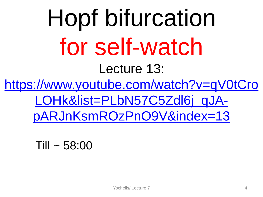# Hopf bifurcation for self-watch Lecture 13: [https://www.youtube.com/watch?v=qV0tCro](https://www.youtube.com/watch?v=qV0tCroLOHk&list=PLbN57C5Zdl6j_qJA-pARJnKsmROzPnO9V&index=13) LOHk&list=PLbN57C5Zdl6j\_qJApARJnKsmROzPnO9V&index=13

Till ~ 58:00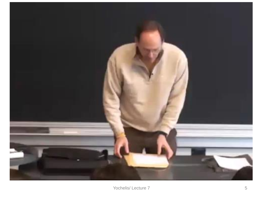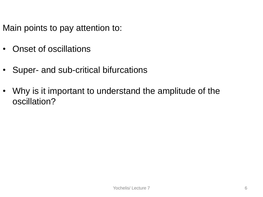Main points to pay attention to:

- Onset of oscillations
- Super- and sub-critical bifurcations
- Why is it important to understand the amplitude of the oscillation?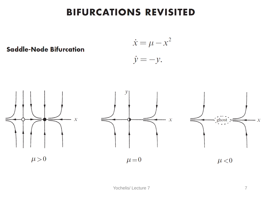### **BIFURCATIONS REVISITED**

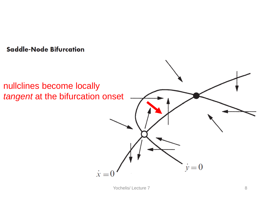**Saddle-Node Bifurcation** 

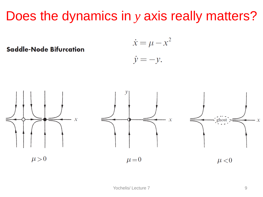# Does the dynamics in *y* axis really matters?

**Saddle-Node Bifurcation** 

$$
\dot{x} = \mu - x^2
$$

 $\dot{y} = -y.$ 

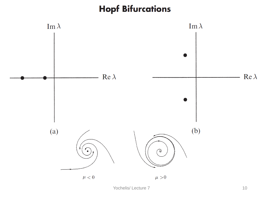## **Hopf Bifurcations**

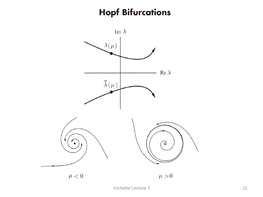### **Hopf Bifurcations**

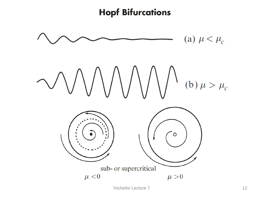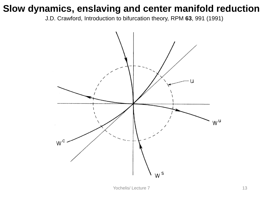#### **Slow dynamics, enslaving and center manifold reduction**

J.D. Crawford, Introduction to bifurcation theory, RPM **63**, 991 (1991)

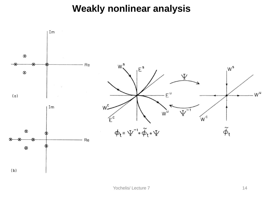#### **Weakly nonlinear analysis**

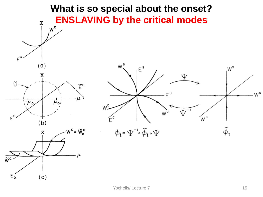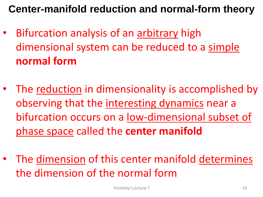- Bifurcation analysis of an arbitrary high dimensional system can be reduced to a simple **normal form**
- The reduction in dimensionality is accomplished by observing that the interesting dynamics near a bifurcation occurs on a low-dimensional subset of phase space called the **center manifold**
- The dimension of this center manifold determines the dimension of the normal form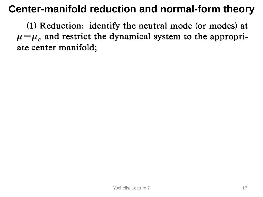(1) Reduction: identify the neutral mode (or modes) at  $\mu = \mu_c$  and restrict the dynamical system to the appropriate center manifold;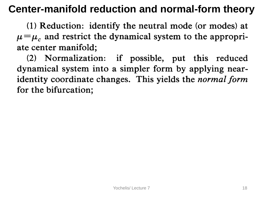(1) Reduction: identify the neutral mode (or modes) at  $\mu = \mu_c$  and restrict the dynamical system to the appropriate center manifold;

(2) Normalization: if possible, put this reduced dynamical system into a simpler form by applying nearidentity coordinate changes. This yields the normal form for the bifurcation;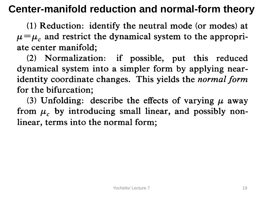(1) Reduction: identify the neutral mode (or modes) at  $\mu = \mu_c$  and restrict the dynamical system to the appropriate center manifold;

(2) Normalization: if possible, put this reduced dynamical system into a simpler form by applying nearidentity coordinate changes. This yields the normal form for the bifurcation;

(3) Unfolding: describe the effects of varying  $\mu$  away from  $\mu_c$  by introducing small linear, and possibly nonlinear, terms into the normal form;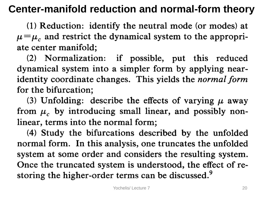(1) Reduction: identify the neutral mode (or modes) at  $\mu = \mu_c$  and restrict the dynamical system to the appropriate center manifold;

(2) Normalization: if possible, put this reduced dynamical system into a simpler form by applying nearidentity coordinate changes. This yields the normal form for the bifurcation;

(3) Unfolding: describe the effects of varying  $\mu$  away from  $\mu_c$  by introducing small linear, and possibly nonlinear, terms into the normal form;

(4) Study the bifurcations described by the unfolded normal form. In this analysis, one truncates the unfolded system at some order and considers the resulting system. Once the truncated system is understood, the effect of restoring the higher-order terms can be discussed.<sup>9</sup>